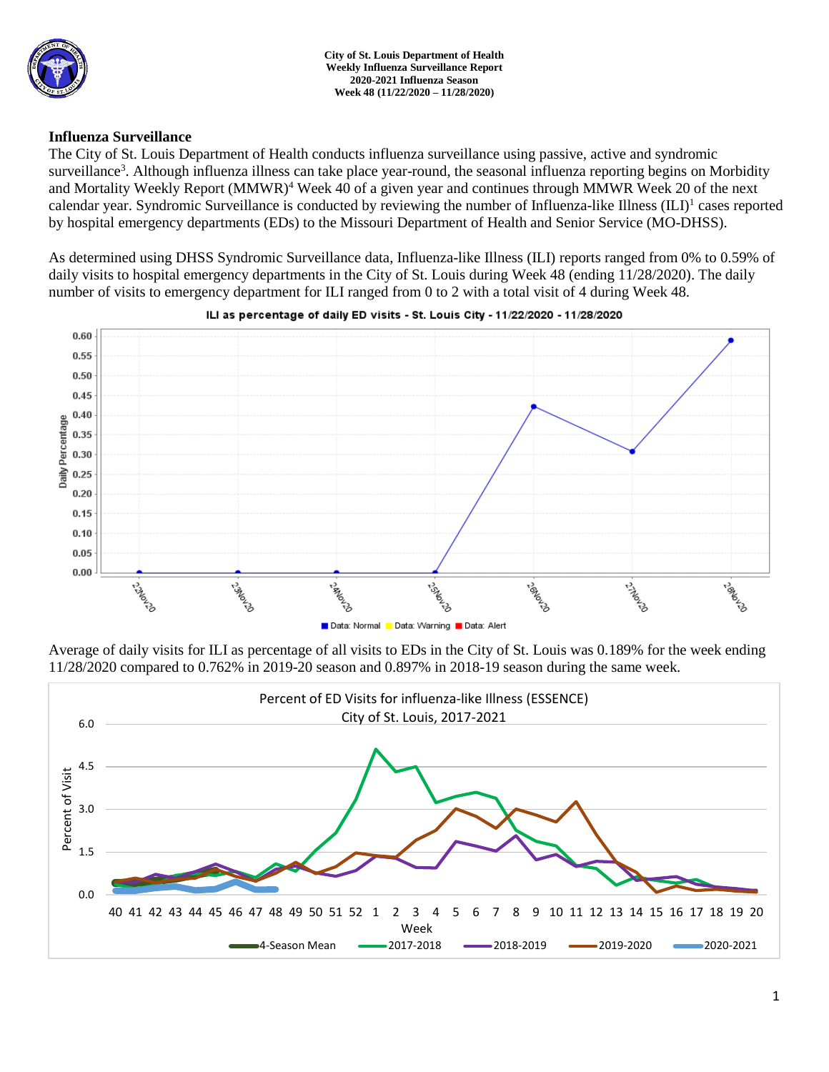

### **Influenza Surveillance**

The City of St. Louis Department of Health conducts influenza surveillance using passive, active and syndromic surveillance<sup>3</sup>. Although influenza illness can take place year-round, the seasonal influenza reporting begins on Morbidity and Mortality Weekly Report (MMWR)<sup>4</sup> Week 40 of a given year and continues through MMWR Week 20 of the next calendar year. Syndromic Surveillance is conducted by reviewing the number of Influenza-like Illness (ILI)<sup>1</sup> cases reported by hospital emergency departments (EDs) to the Missouri Department of Health and Senior Service (MO-DHSS).

As determined using DHSS Syndromic Surveillance data, Influenza-like Illness (ILI) reports ranged from 0% to 0.59% of daily visits to hospital emergency departments in the City of St. Louis during Week 48 (ending 11/28/2020). The daily number of visits to emergency department for ILI ranged from 0 to 2 with a total visit of 4 during Week 48.



### ILI as percentage of daily ED visits - St. Louis City - 11/22/2020 - 11/28/2020

Average of daily visits for ILI as percentage of all visits to EDs in the City of St. Louis was 0.189% for the week ending 11/28/2020 compared to 0.762% in 2019-20 season and 0.897% in 2018-19 season during the same week.

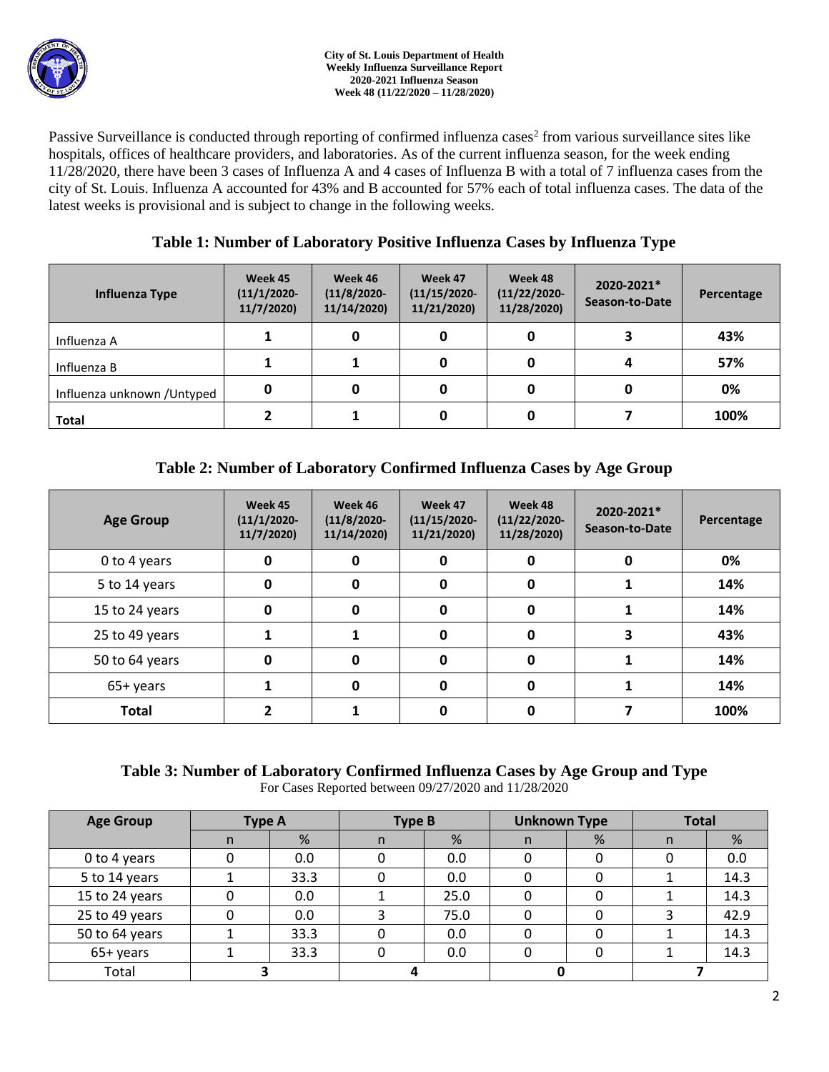Passive Surveillance is conducted through reporting of confirmed influenza cases<sup>2</sup> from various surveillance sites like hospitals, offices of healthcare providers, and laboratories. As of the current influenza season, for the week ending 11/28/2020, there have been 3 cases of Influenza A and 4 cases of Influenza B with a total of 7 influenza cases from the city of St. Louis. Influenza A accounted for 43% and B accounted for 57% each of total influenza cases. The data of the latest weeks is provisional and is subject to change in the following weeks.

# **Table 1: Number of Laboratory Positive Influenza Cases by Influenza Type**

| Influenza Type              | Week 45<br>$(11/1/2020 -$<br>11/7/2020 | Week 46<br>$(11/8/2020 -$<br>11/14/2020) | Week 47<br>$(11/15/2020 -$<br>11/21/2020) | Week 48<br>$(11/22/2020 -$<br>11/28/2020) | 2020-2021*<br>Season-to-Date | Percentage |
|-----------------------------|----------------------------------------|------------------------------------------|-------------------------------------------|-------------------------------------------|------------------------------|------------|
| Influenza A                 |                                        |                                          | 0                                         |                                           |                              | 43%        |
| Influenza B                 |                                        |                                          | 0                                         |                                           |                              | 57%        |
| Influenza unknown / Untyped | 0                                      |                                          | 0                                         |                                           |                              | 0%         |
| <b>Total</b>                |                                        |                                          | 0                                         |                                           |                              | 100%       |

# **Table 2: Number of Laboratory Confirmed Influenza Cases by Age Group**

| <b>Age Group</b> | Week 45<br>$(11/1/2020 -$<br>11/7/2020 | Week 46<br>$(11/8/2020 -$<br>11/14/2020) | Week 47<br>$(11/15/2020 -$<br>11/21/2020) | Week 48<br>$(11/22/2020 -$<br>11/28/2020) | 2020-2021*<br>Season-to-Date | Percentage |
|------------------|----------------------------------------|------------------------------------------|-------------------------------------------|-------------------------------------------|------------------------------|------------|
| 0 to 4 years     | 0                                      | 0                                        | 0                                         | 0                                         | 0                            | 0%         |
| 5 to 14 years    | 0                                      | 0                                        | 0                                         | 0                                         |                              | 14%        |
| 15 to 24 years   | 0                                      | 0                                        | 0                                         | 0                                         |                              | 14%        |
| 25 to 49 years   |                                        |                                          | 0                                         | 0                                         |                              | 43%        |
| 50 to 64 years   | 0                                      | 0                                        | 0                                         | 0                                         |                              | 14%        |
| 65+ years        |                                        | U                                        | 0                                         | O                                         |                              | 14%        |
| <b>Total</b>     |                                        |                                          | O                                         | O                                         |                              | 100%       |

### **Table 3: Number of Laboratory Confirmed Influenza Cases by Age Group and Type** For Cases Reported between 09/27/2020 and 11/28/2020

| <b>Age Group</b> | <b>Type A</b> |      | <b>Type B</b> |      | <b>Unknown Type</b> |   | <b>Total</b> |      |
|------------------|---------------|------|---------------|------|---------------------|---|--------------|------|
|                  | n             | %    | n             | %    | n                   | % | n            | %    |
| 0 to 4 years     |               | 0.0  |               | 0.0  |                     |   |              | 0.0  |
| 5 to 14 years    |               | 33.3 |               | 0.0  |                     |   |              | 14.3 |
| 15 to 24 years   |               | 0.0  |               | 25.0 |                     |   |              | 14.3 |
| 25 to 49 years   |               | 0.0  | 3             | 75.0 |                     |   |              | 42.9 |
| 50 to 64 years   |               | 33.3 |               | 0.0  |                     |   |              | 14.3 |
| 65+ years        |               | 33.3 |               | 0.0  |                     |   |              | 14.3 |
| Total            |               |      |               |      |                     |   |              |      |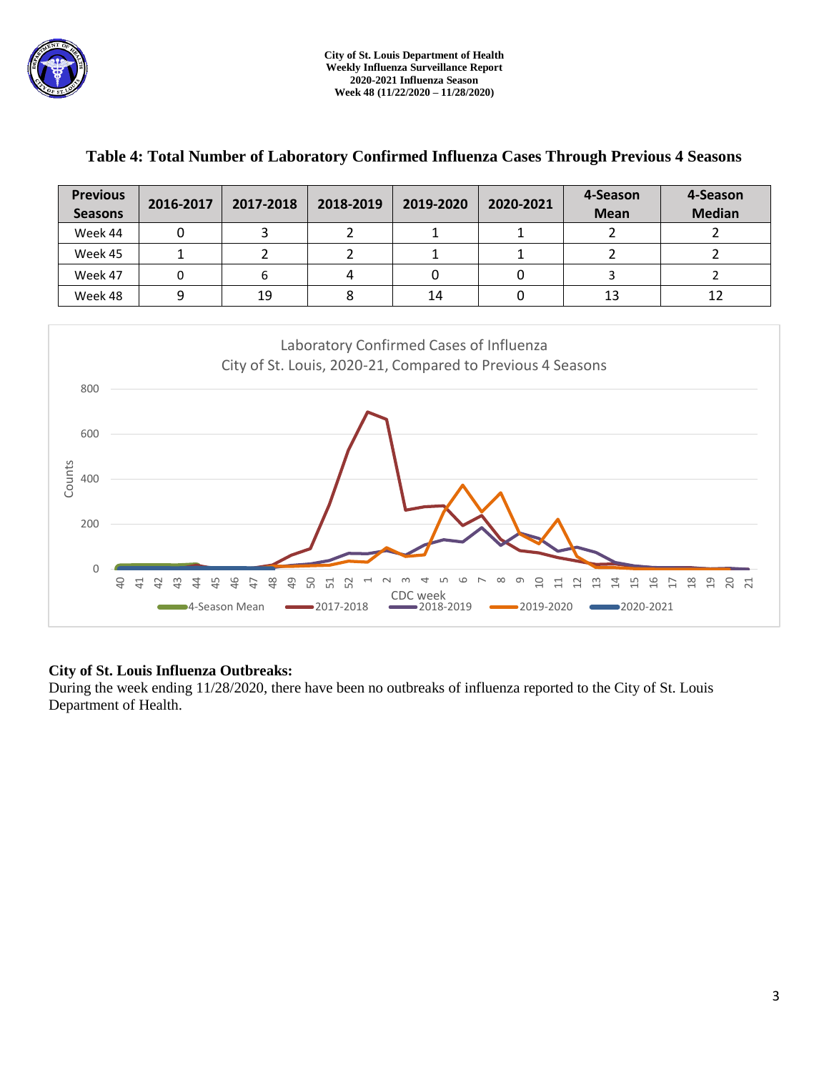

| <b>Previous</b><br><b>Seasons</b> | 2016-2017 | 2017-2018 | 2018-2019 | 2019-2020 | 2020-2021 | 4-Season<br><b>Mean</b> | 4-Season<br><b>Median</b> |
|-----------------------------------|-----------|-----------|-----------|-----------|-----------|-------------------------|---------------------------|
| Week 44                           |           |           |           |           |           |                         |                           |
| Week 45                           |           |           |           |           |           |                         |                           |
| Week 47                           |           |           |           |           |           |                         |                           |
| Week 48                           | q         | 19        |           | 14        |           | 13                      |                           |

## **Table 4: Total Number of Laboratory Confirmed Influenza Cases Through Previous 4 Seasons**



## **City of St. Louis Influenza Outbreaks:**

During the week ending 11/28/2020, there have been no outbreaks of influenza reported to the City of St. Louis Department of Health.